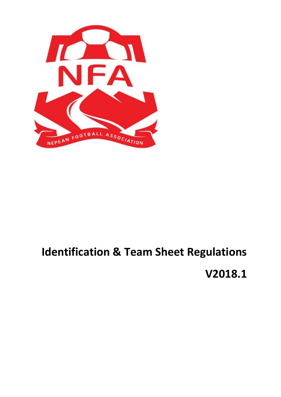

# **Identification & Team Sheet Regulations V2018.1**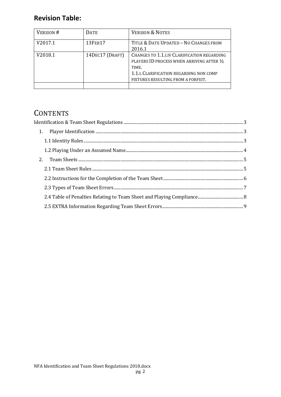### **Revision Table:**

| VERSION # | <b>DATE</b>     | <b>VERSION &amp; NOTES</b>                                                                                                                                                         |
|-----------|-----------------|------------------------------------------------------------------------------------------------------------------------------------------------------------------------------------|
| V2017.1   | 13FEB17         | TITLE & DATE UPDATED - NO CHANGES FROM<br>2016.1                                                                                                                                   |
| V2018.1   | 14DEC17 (DRAFT) | CHANGES TO 1.1.I.IV CLARIFICATION REGARDING<br>PLAYERS ID PROCESS WHEN ARRIVING AFTER 1/2<br>TIME.<br>1.1.L CLARIFICATION REGARDING NON COMP<br>FIXTURES RESULTING FROM A FORFEIT. |
|           |                 |                                                                                                                                                                                    |

## **CONTENTS**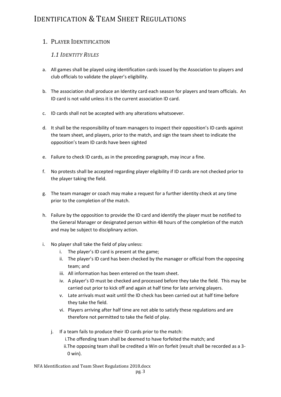## <span id="page-2-0"></span>IDENTIFICATION & TEAM SHEET REGULATIONS

#### <span id="page-2-2"></span><span id="page-2-1"></span>1. PLAYER IDENTIFICATION

#### *1.1 IDENTITY RULES*

- a. All games shall be played using identification cards issued by the Association to players and club officials to validate the player's eligibility.
- b. The association shall produce an Identity card each season for players and team officials. An ID card is not valid unless it is the current association ID card.
- c. ID cards shall not be accepted with any alterations whatsoever.
- d. It shall be the responsibility of team managers to inspect their opposition's ID cards against the team sheet, and players, prior to the match, and sign the team sheet to indicate the opposition's team ID cards have been sighted
- e. Failure to check ID cards, as in the preceding paragraph, may incur a fine.
- f. No protests shall be accepted regarding player eligibility if ID cards are not checked prior to the player taking the field.
- g. The team manager or coach may make a request for a further identity check at any time prior to the completion of the match.
- h. Failure by the opposition to provide the ID card and identify the player must be notified to the General Manager or designated person within 48 hours of the completion of the match and may be subject to disciplinary action.
- i. No player shall take the field of play unless:
	- i. The player's ID card is present at the game;
	- ii. The player's ID card has been checked by the manager or official from the opposing team; and
	- iii. All information has been entered on the team sheet.
	- iv. A player's ID must be checked and processed before they take the field. This may be carried out prior to kick off and again at half time for late arriving players.
	- v. Late arrivals must wait until the ID check has been carried out at half time before they take the field.
	- vi. Players arriving after half time are not able to satisfy these regulations and are therefore not permitted to take the field of play.
	- j. If a team fails to produce their ID cards prior to the match:
		- i.The offending team shall be deemed to have forfeited the match; and
		- ii.The opposing team shall be credited a Win on forfeit (result shall be recorded as a 3- 0 win).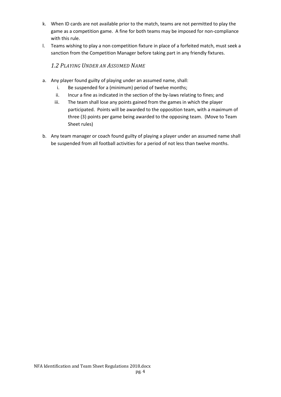- k. When ID cards are not available prior to the match, teams are not permitted to play the game as a competition game. A fine for both teams may be imposed for non-compliance with this rule.
- l. Teams wishing to play a non competition fixture in place of a forfeited match, must seek a sanction from the Competition Manager before taking part in any friendly fixtures.

#### *1.2 PLAYING UNDER AN ASSUMED NAME*

- <span id="page-3-0"></span>a. Any player found guilty of playing under an assumed name, shall:
	- i. Be suspended for a (minimum) period of twelve months;
	- ii. Incur a fine as indicated in the section of the by-laws relating to fines; and
	- iii. The team shall lose any points gained from the games in which the player participated. Points will be awarded to the opposition team, with a maximum of three (3) points per game being awarded to the opposing team. (Move to Team Sheet rules)
- b. Any team manager or coach found guilty of playing a player under an assumed name shall be suspended from all football activities for a period of not less than twelve months.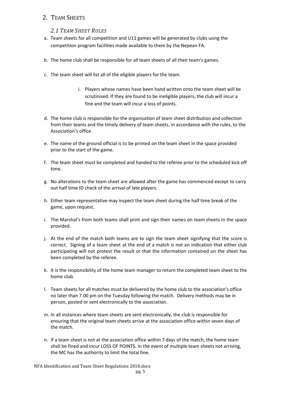#### <span id="page-4-1"></span><span id="page-4-0"></span>2. TEAM SHEETS

#### *2.1 TEAM SHEET RULES*

- a. Team sheets for all competition and U11 games will be generated by clubs using the competition program facilities made available to them by the Nepean FA.
- b. The home club shall be responsible for all team sheets of all their team's games.
- c. The team sheet will list all of the eligible players for the team.
	- i. Players whose names have been hand written onto the team sheet will be scrutinised. If they are found to be ineligible players, the club will incur a fine and the team will incur a loss of points.
- d. The home club is responsible for the organisation of team sheet distribution and collection from their teams and the timely delivery of team sheets, in accordance with the rules, to the Association's office
- e. The name of the ground official is to be printed on the team sheet in the space provided prior to the start of the game.
- f. The team sheet must be completed and handed to the referee prior to the scheduled kick off time.
- g. No alterations to the team sheet are allowed after the game has commenced except to carry out half time ID check of the arrival of late players.
- h. Either team representative may inspect the team sheet during the half time break of the game, upon request.
- i. The Marshal's from both teams shall print and sign their names on team sheets in the space provided.
- j. At the end of the match both teams are to sign the team sheet signifying that the score is correct. Signing of a team sheet at the end of a match is not an indication that either club participating will not protest the result or that the information contained on the sheet has been completed by the referee.
- k. It is the responsibility of the home team manager to return the completed team sheet to the home club.
- l. Team sheets for all matches must be delivered by the home club to the association's office no later than 7.00 pm on the Tuesday following the match. Delivery methods may be in person, posted or sent electronically to the association.
- m. In all instances where team sheets are sent electronically, the club is responsible for ensuring that the original team sheets arrive at the association office within seven days of the match.
- n. If a team sheet is not at the association office within 7 days of the match, the home team shall be fined and incur LOSS OF POINTS. In the event of multiple team sheets not arriving, the MC has the authority to limit the total fine.

NFA Identification and Team Sheet Regulations 2018.docx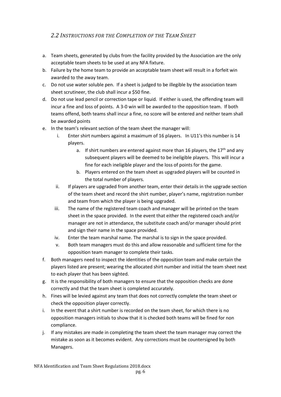#### <span id="page-5-0"></span>*2.2 INSTRUCTIONS FOR THE COMPLETION OF THE TEAM SHEET*

- a. Team sheets, generated by clubs from the facility provided by the Association are the only acceptable team sheets to be used at any NFA fixture.
- b. Failure by the home team to provide an acceptable team sheet will result in a forfeit win awarded to the away team.
- c. Do not use water soluble pen. If a sheet is judged to be illegible by the association team sheet scrutineer, the club shall incur a \$50 fine.
- d. Do not use lead pencil or correction tape or liquid. If either is used, the offending team will incur a fine and loss of points. A 3-0 win will be awarded to the opposition team. If both teams offend, both teams shall incur a fine, no score will be entered and neither team shall be awarded points
- e. In the team's relevant section of the team sheet the manager will:
	- i. Enter shirt numbers against a maximum of 16 players. In U11's this number is 14 players.
		- a. If shirt numbers are entered against more than 16 players, the  $17<sup>th</sup>$  and any subsequent players will be deemed to be ineligible players. This will incur a fine for each ineligible player and the loss of points for the game.
		- b. Players entered on the team sheet as upgraded players will be counted in the total number of players.
	- ii. If players are upgraded from another team, enter their details in the upgrade section of the team sheet and record the shirt number, player's name, registration number and team from which the player is being upgraded.
	- iii. The name of the registered team coach and manager will be printed on the team sheet in the space provided. In the event that either the registered coach and/or manager are not in attendance, the substitute coach and/or manager should print and sign their name in the space provided.
	- iv. Enter the team marshal name. The marshal is to sign in the space provided.
	- v. Both team managers must do this and allow reasonable and sufficient time for the opposition team manager to complete their tasks.
- f. Both managers need to inspect the identities of the opposition team and make certain the players listed are present; wearing the allocated shirt number and initial the team sheet next to each player that has been sighted.
- g. It is the responsibility of both managers to ensure that the opposition checks are done correctly and that the team sheet is completed accurately.
- h. Fines will be levied against any team that does not correctly complete the team sheet or check the opposition player correctly.
- i. In the event that a shirt number is recorded on the team sheet, for which there is no opposition managers initials to show that it is checked both teams will be fined for non compliance.
- j. If any mistakes are made in completing the team sheet the team manager may correct the mistake as soon as it becomes evident. Any corrections must be countersigned by both Managers.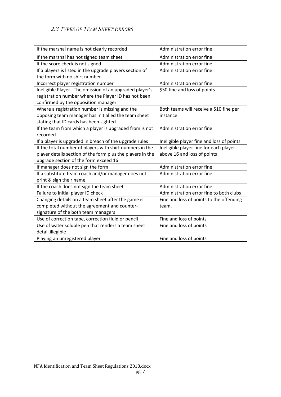#### <span id="page-6-0"></span>*2.3 TYPES OF TEAM SHEET ERRORS*

| If the marshal name is not clearly recorded                | Administration error fine                 |
|------------------------------------------------------------|-------------------------------------------|
| If the marshal has not signed team sheet                   | Administration error fine                 |
| If the score check is not signed                           | Administration error fine                 |
| If a players is listed in the upgrade players section of   | Administration error fine                 |
| the form with no shirt number                              |                                           |
| Incorrect player registration number                       | Administration error fine                 |
| Ineligible Player. The omission of an upgraded player's    | \$50 fine and loss of points              |
| registration number where the Player ID has not been       |                                           |
| confirmed by the opposition manager                        |                                           |
| Where a registration number is missing and the             | Both teams will receive a \$10 fine per   |
| opposing team manager has initialled the team sheet        | instance.                                 |
| stating that ID cards has been sighted                     |                                           |
| If the team from which a player is upgraded from is not    | Administration error fine                 |
| recorded                                                   |                                           |
| If a player is upgraded in breach of the upgrade rules     | Ineligible player fine and loss of points |
| If the total number of players with shirt numbers in the   | Ineligible player fine for each player    |
| player details section of the form plus the players in the | above 16 and loss of points               |
| upgrade section of the form exceed 16                      |                                           |
| If manager does not sign the form                          | Administration error fine                 |
| If a substitute team coach and/or manager does not         | Administration error fine                 |
| print & sign their name                                    |                                           |
| If the coach does not sign the team sheet                  | Administration error fine                 |
| Failure to initial player ID check                         | Administration error fine to both clubs   |
| Changing details on a team sheet after the game is         | Fine and loss of points to the offending  |
| completed without the agreement and counter-               | team.                                     |
| signature of the both team managers                        |                                           |
| Use of correction tape, correction fluid or pencil         | Fine and loss of points                   |
| Use of water soluble pen that renders a team sheet         | Fine and loss of points                   |
| detail illegible                                           |                                           |
| Playing an unregistered player                             | Fine and loss of points                   |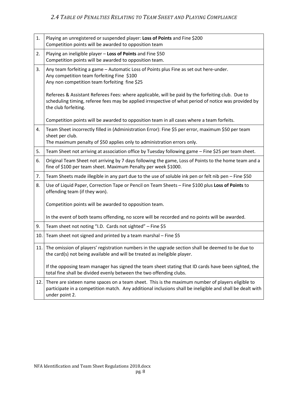<span id="page-7-0"></span>

| 1.  | Playing an unregistered or suspended player: Loss of Points and Fine \$200<br>Competition points will be awarded to opposition team                                                                                               |
|-----|-----------------------------------------------------------------------------------------------------------------------------------------------------------------------------------------------------------------------------------|
| 2.  | Playing an ineligible player - Loss of Points and Fine \$50<br>Competition points will be awarded to opposition team.                                                                                                             |
| 3.  | Any team forfeiting a game - Automatic Loss of Points plus Fine as set out here-under.<br>Any competition team forfeiting Fine \$100<br>Any non competition team forfeiting fine \$25                                             |
|     | Referees & Assistant Referees Fees: where applicable, will be paid by the forfeiting club. Due to<br>scheduling timing, referee fees may be applied irrespective of what period of notice was provided by<br>the club forfeiting. |
|     | Competition points will be awarded to opposition team in all cases where a team forfeits.                                                                                                                                         |
| 4.  | Team Sheet incorrectly filled in (Administration Error): Fine \$5 per error, maximum \$50 per team<br>sheet per club.                                                                                                             |
|     | The maximum penalty of \$50 applies only to administration errors only.                                                                                                                                                           |
| 5.  | Team Sheet not arriving at association office by Tuesday following game - Fine \$25 per team sheet.                                                                                                                               |
| 6.  | Original Team Sheet not arriving by 7 days following the game, Loss of Points to the home team and a<br>fine of \$100 per team sheet. Maximum Penalty per week \$1000.                                                            |
| 7.  | Team Sheets made illegible in any part due to the use of soluble ink pen or felt nib pen - Fine \$50                                                                                                                              |
| 8.  | Use of Liquid Paper, Correction Tape or Pencil on Team Sheets - Fine \$100 plus Loss of Points to<br>offending team (if they won).                                                                                                |
|     | Competition points will be awarded to opposition team.                                                                                                                                                                            |
|     | In the event of both teams offending, no score will be recorded and no points will be awarded.                                                                                                                                    |
| 9.  | Team sheet not noting "I.D. Cards not sighted" - Fine \$5                                                                                                                                                                         |
| 10. | Team sheet not signed and printed by a team marshal - Fine \$5                                                                                                                                                                    |
| 11. | The omission of players' registration numbers in the upgrade section shall be deemed to be due to<br>the card(s) not being available and will be treated as ineligible player.                                                    |
|     | If the opposing team manager has signed the team sheet stating that ID cards have been sighted, the<br>total fine shall be divided evenly between the two offending clubs.                                                        |
| 12. | There are sixteen name spaces on a team sheet. This is the maximum number of players eligible to<br>participate in a competition match. Any additional inclusions shall be ineligible and shall be dealt with<br>under point 2.   |